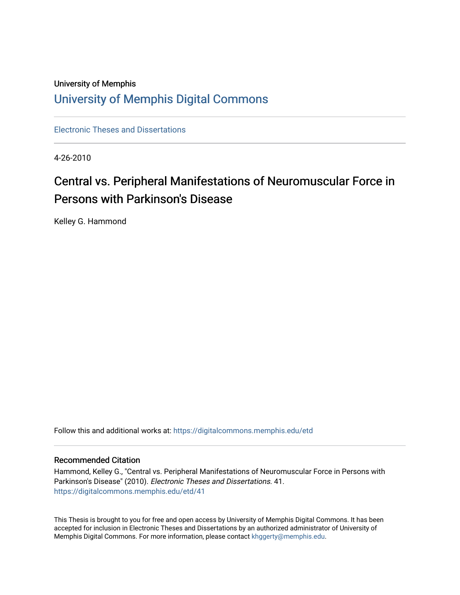# University of Memphis [University of Memphis Digital Commons](https://digitalcommons.memphis.edu/)

[Electronic Theses and Dissertations](https://digitalcommons.memphis.edu/etd)

4-26-2010

# Central vs. Peripheral Manifestations of Neuromuscular Force in Persons with Parkinson's Disease

Kelley G. Hammond

Follow this and additional works at: [https://digitalcommons.memphis.edu/etd](https://digitalcommons.memphis.edu/etd?utm_source=digitalcommons.memphis.edu%2Fetd%2F41&utm_medium=PDF&utm_campaign=PDFCoverPages) 

# Recommended Citation

Hammond, Kelley G., "Central vs. Peripheral Manifestations of Neuromuscular Force in Persons with Parkinson's Disease" (2010). Electronic Theses and Dissertations. 41. [https://digitalcommons.memphis.edu/etd/41](https://digitalcommons.memphis.edu/etd/41?utm_source=digitalcommons.memphis.edu%2Fetd%2F41&utm_medium=PDF&utm_campaign=PDFCoverPages)

This Thesis is brought to you for free and open access by University of Memphis Digital Commons. It has been accepted for inclusion in Electronic Theses and Dissertations by an authorized administrator of University of Memphis Digital Commons. For more information, please contact [khggerty@memphis.edu.](mailto:khggerty@memphis.edu)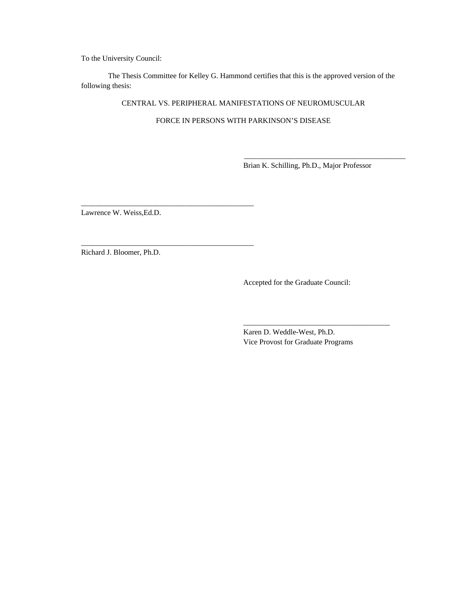To the University Council:

 The Thesis Committee for Kelley G. Hammond certifies that this is the approved version of the following thesis:

CENTRAL VS. PERIPHERAL MANIFESTATIONS OF NEUROMUSCULAR

FORCE IN PERSONS WITH PARKINSON'S DISEASE

 $\frac{1}{2}$  ,  $\frac{1}{2}$  ,  $\frac{1}{2}$  ,  $\frac{1}{2}$  ,  $\frac{1}{2}$  ,  $\frac{1}{2}$  ,  $\frac{1}{2}$  ,  $\frac{1}{2}$  ,  $\frac{1}{2}$  ,  $\frac{1}{2}$  ,  $\frac{1}{2}$  ,  $\frac{1}{2}$  ,  $\frac{1}{2}$  ,  $\frac{1}{2}$  ,  $\frac{1}{2}$  ,  $\frac{1}{2}$  ,  $\frac{1}{2}$  ,  $\frac{1}{2}$  ,  $\frac{1$ 

Brian K. Schilling, Ph.D., Major Professor

\_\_\_\_\_\_\_\_\_\_\_\_\_\_\_\_\_\_\_\_\_\_\_\_\_\_\_\_\_\_\_\_\_\_\_\_\_\_\_\_\_\_\_

Lawrence W. Weiss,Ed.D.

\_\_\_\_\_\_\_\_\_\_\_\_\_\_\_\_\_\_\_\_\_\_\_\_\_\_\_\_\_\_\_\_\_\_\_\_\_\_\_\_\_\_\_\_\_\_

\_\_\_\_\_\_\_\_\_\_\_\_\_\_\_\_\_\_\_\_\_\_\_\_\_\_\_\_\_\_\_\_\_\_\_\_\_\_\_\_\_\_\_\_\_\_

Richard J. Bloomer, Ph.D.

Accepted for the Graduate Council:

Karen D. Weddle-West, Ph.D. Vice Provost for Graduate Programs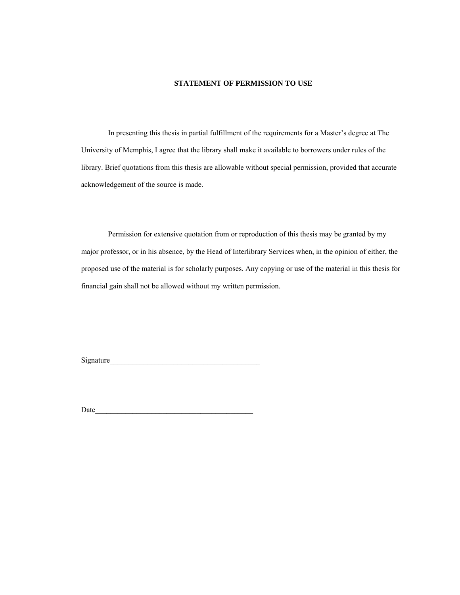# **STATEMENT OF PERMISSION TO USE**

 In presenting this thesis in partial fulfillment of the requirements for a Master's degree at The University of Memphis, I agree that the library shall make it available to borrowers under rules of the library. Brief quotations from this thesis are allowable without special permission, provided that accurate acknowledgement of the source is made.

 Permission for extensive quotation from or reproduction of this thesis may be granted by my major professor, or in his absence, by the Head of Interlibrary Services when, in the opinion of either, the proposed use of the material is for scholarly purposes. Any copying or use of the material in this thesis for financial gain shall not be allowed without my written permission.

Signature\_\_\_\_\_\_\_\_\_\_\_\_\_\_\_\_\_\_\_\_\_\_\_\_\_\_\_\_\_\_\_\_\_\_\_\_\_\_\_\_

Date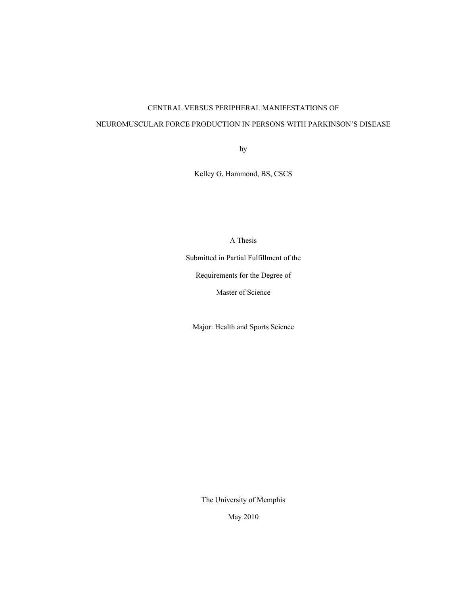# CENTRAL VERSUS PERIPHERAL MANIFESTATIONS OF

# NEUROMUSCULAR FORCE PRODUCTION IN PERSONS WITH PARKINSON'S DISEASE

by

Kelley G. Hammond, BS, CSCS

A Thesis

Submitted in Partial Fulfillment of the

Requirements for the Degree of

Master of Science

Major: Health and Sports Science

The University of Memphis

May 2010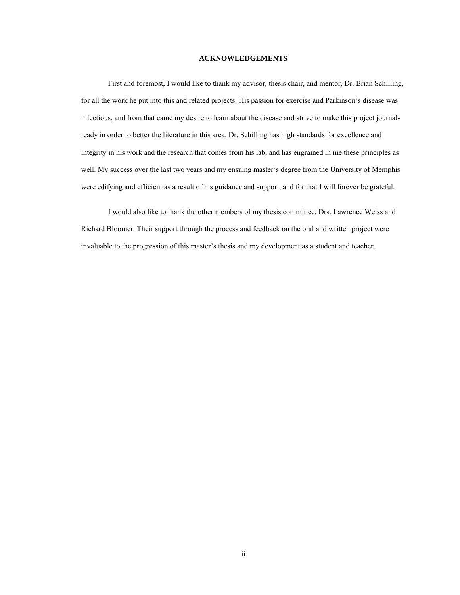## **ACKNOWLEDGEMENTS**

First and foremost, I would like to thank my advisor, thesis chair, and mentor, Dr. Brian Schilling, for all the work he put into this and related projects. His passion for exercise and Parkinson's disease was infectious, and from that came my desire to learn about the disease and strive to make this project journalready in order to better the literature in this area. Dr. Schilling has high standards for excellence and integrity in his work and the research that comes from his lab, and has engrained in me these principles as well. My success over the last two years and my ensuing master's degree from the University of Memphis were edifying and efficient as a result of his guidance and support, and for that I will forever be grateful.

 I would also like to thank the other members of my thesis committee, Drs. Lawrence Weiss and Richard Bloomer. Their support through the process and feedback on the oral and written project were invaluable to the progression of this master's thesis and my development as a student and teacher.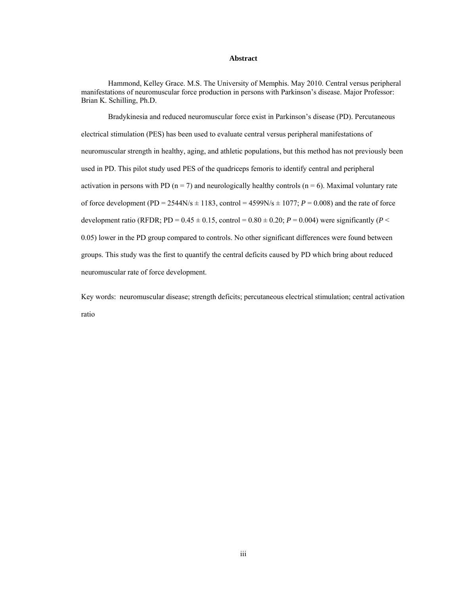# **Abstract**

Hammond, Kelley Grace. M.S. The University of Memphis. May 2010. Central versus peripheral manifestations of neuromuscular force production in persons with Parkinson's disease. Major Professor: Brian K. Schilling, Ph.D.

Bradykinesia and reduced neuromuscular force exist in Parkinson's disease (PD). Percutaneous electrical stimulation (PES) has been used to evaluate central versus peripheral manifestations of neuromuscular strength in healthy, aging, and athletic populations, but this method has not previously been used in PD. This pilot study used PES of the quadriceps femoris to identify central and peripheral activation in persons with PD ( $n = 7$ ) and neurologically healthy controls ( $n = 6$ ). Maximal voluntary rate of force development (PD =  $2544N/s \pm 1183$ , control =  $4599N/s \pm 1077$ ;  $P = 0.008$ ) and the rate of force development ratio (RFDR; PD =  $0.45 \pm 0.15$ , control =  $0.80 \pm 0.20$ ; *P* = 0.004) were significantly (*P* < 0.05) lower in the PD group compared to controls. No other significant differences were found between groups. This study was the first to quantify the central deficits caused by PD which bring about reduced neuromuscular rate of force development.

Key words: neuromuscular disease; strength deficits; percutaneous electrical stimulation; central activation ratio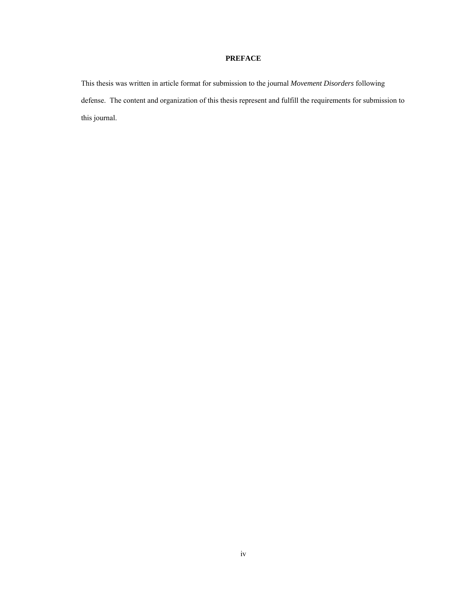# **PREFACE**

This thesis was written in article format for submission to the journal *Movement Disorders* following defense. The content and organization of this thesis represent and fulfill the requirements for submission to this journal.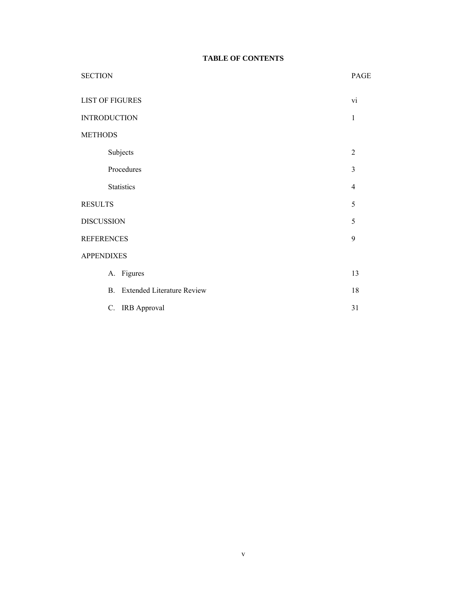# **TABLE OF CONTENTS**

| <b>SECTION</b>         |                                                     | PAGE           |
|------------------------|-----------------------------------------------------|----------------|
| <b>LIST OF FIGURES</b> |                                                     | vi             |
| <b>INTRODUCTION</b>    |                                                     | $\mathbf{1}$   |
| <b>METHODS</b>         |                                                     |                |
|                        | Subjects                                            | $\overline{2}$ |
|                        | Procedures                                          | 3              |
|                        | Statistics                                          | $\overline{4}$ |
| <b>RESULTS</b>         |                                                     | 5              |
| <b>DISCUSSION</b>      |                                                     | 5              |
| <b>REFERENCES</b>      |                                                     | 9              |
| <b>APPENDIXES</b>      |                                                     |                |
|                        | A. Figures                                          | 13             |
|                        | <b>Extended Literature Review</b><br>$\mathbf{B}$ . | 18             |
|                        | C. IRB Approval                                     | 31             |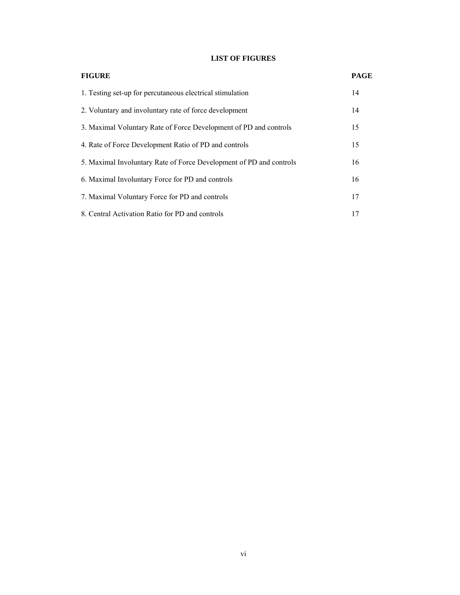# **LIST OF FIGURES**

| <b>FIGURE</b>                                                       | <b>PAGE</b> |
|---------------------------------------------------------------------|-------------|
| 1. Testing set-up for percutaneous electrical stimulation           | 14          |
| 2. Voluntary and involuntary rate of force development              | 14          |
| 3. Maximal Voluntary Rate of Force Development of PD and controls   | 15          |
| 4. Rate of Force Development Ratio of PD and controls               | 15          |
| 5. Maximal Involuntary Rate of Force Development of PD and controls | 16          |
| 6. Maximal Involuntary Force for PD and controls                    | 16          |
| 7. Maximal Voluntary Force for PD and controls                      | 17          |
| 8. Central Activation Ratio for PD and controls                     | 17          |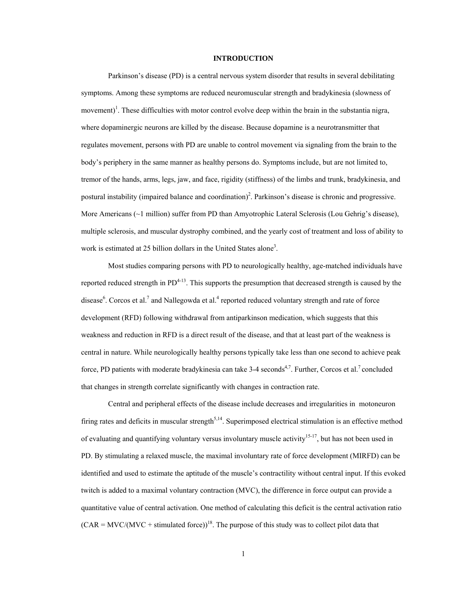# **INTRODUCTION**

Parkinson's disease (PD) is a central nervous system disorder that results in several debilitating symptoms. Among these symptoms are reduced neuromuscular strength and bradykinesia (slowness of movement)<sup>1</sup>. These difficulties with motor control evolve deep within the brain in the substantia nigra, where dopaminergic neurons are killed by the disease. Because dopamine is a neurotransmitter that regulates movement, persons with PD are unable to control movement via signaling from the brain to the body's periphery in the same manner as healthy persons do. Symptoms include, but are not limited to, tremor of the hands, arms, legs, jaw, and face, rigidity (stiffness) of the limbs and trunk, bradykinesia, and postural instability (impaired balance and coordination)<sup>2</sup>. Parkinson's disease is chronic and progressive. More Americans (~1 million) suffer from PD than Amyotrophic Lateral Sclerosis (Lou Gehrig's disease), multiple sclerosis, and muscular dystrophy combined, and the yearly cost of treatment and loss of ability to work is estimated at 25 billion dollars in the United States alone<sup>3</sup>.

Most studies comparing persons with PD to neurologically healthy, age-matched individuals have reported reduced strength in  $PD^{4-13}$ . This supports the presumption that decreased strength is caused by the disease<sup>6</sup>. Corcos et al.<sup>7</sup> and Nallegowda et al.<sup>4</sup> reported reduced voluntary strength and rate of force development (RFD) following withdrawal from antiparkinson medication, which suggests that this weakness and reduction in RFD is a direct result of the disease, and that at least part of the weakness is central in nature. While neurologically healthy persons typically take less than one second to achieve peak force, PD patients with moderate bradykinesia can take 3-4 seconds<sup>4,7</sup>. Further, Corcos et al.<sup>7</sup> concluded that changes in strength correlate significantly with changes in contraction rate.

Central and peripheral effects of the disease include decreases and irregularities in motoneuron firing rates and deficits in muscular strength<sup>5,14</sup>. Superimposed electrical stimulation is an effective method of evaluating and quantifying voluntary versus involuntary muscle activity<sup>15-17</sup>, but has not been used in PD. By stimulating a relaxed muscle, the maximal involuntary rate of force development (MIRFD) can be identified and used to estimate the aptitude of the muscle's contractility without central input. If this evoked twitch is added to a maximal voluntary contraction (MVC), the difference in force output can provide a quantitative value of central activation. One method of calculating this deficit is the central activation ratio  $(CAR = MVC/(MVC + stimulated force))^{18}$ . The purpose of this study was to collect pilot data that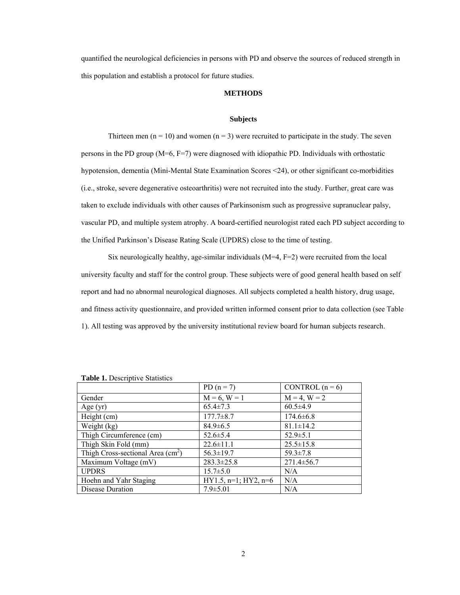quantified the neurological deficiencies in persons with PD and observe the sources of reduced strength in this population and establish a protocol for future studies.

#### **METHODS**

# **Subjects**

Thirteen men  $(n = 10)$  and women  $(n = 3)$  were recruited to participate in the study. The seven persons in the PD group (M=6, F=7) were diagnosed with idiopathic PD. Individuals with orthostatic hypotension, dementia (Mini-Mental State Examination Scores <24), or other significant co-morbidities (i.e., stroke, severe degenerative osteoarthritis) were not recruited into the study. Further, great care was taken to exclude individuals with other causes of Parkinsonism such as progressive supranuclear palsy, vascular PD, and multiple system atrophy. A board-certified neurologist rated each PD subject according to the Unified Parkinson's Disease Rating Scale (UPDRS) close to the time of testing.

Six neurologically healthy, age-similar individuals  $(M=4, F=2)$  were recruited from the local university faculty and staff for the control group. These subjects were of good general health based on self report and had no abnormal neurological diagnoses. All subjects completed a health history, drug usage, and fitness activity questionnaire, and provided written informed consent prior to data collection (see Table 1). All testing was approved by the university institutional review board for human subjects research.

|                                    | PD $(n = 7)$              | CONTROL $(n=6)$   |
|------------------------------------|---------------------------|-------------------|
| Gender                             | $M = 6, W = 1$            | $M = 4$ , $W = 2$ |
| Age $(yr)$                         | $65.4 \pm 7.3$            | $60.5 \pm 4.9$    |
| Height (cm)                        | $177.7 \pm 8.7$           | $174.6 \pm 6.8$   |
| Weight (kg)                        | $84.9 \pm 6.5$            | $81.1 \pm 14.2$   |
| Thigh Circumference (cm)           | $52.6 \pm 5.4$            | $52.9 \pm 5.1$    |
| Thigh Skin Fold (mm)               | $22.6 \pm 11.1$           | $25.5 \pm 15.8$   |
| Thigh Cross-sectional Area $(cm2)$ | $56.3 \pm 19.7$           | $59.3 \pm 7.8$    |
| Maximum Voltage (mV)               | $283.3 \pm 25.8$          | $271.4 \pm 56.7$  |
| <b>UPDRS</b>                       | $15.7 \pm 5.0$            | N/A               |
| Hoehn and Yahr Staging             | $HY1.5, n=1$ ; $HY2, n=6$ | N/A               |
| Disease Duration                   | $7.9 \pm 5.01$            | N/A               |

| <b>Table 1.</b> Descriptive Statistics |  |
|----------------------------------------|--|
|----------------------------------------|--|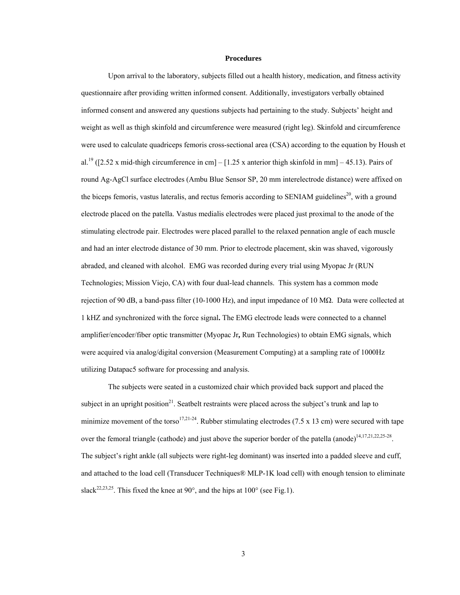## **Procedures**

 Upon arrival to the laboratory, subjects filled out a health history, medication, and fitness activity questionnaire after providing written informed consent. Additionally, investigators verbally obtained informed consent and answered any questions subjects had pertaining to the study. Subjects' height and weight as well as thigh skinfold and circumference were measured (right leg). Skinfold and circumference were used to calculate quadriceps femoris cross-sectional area (CSA) according to the equation by Housh et al.<sup>19</sup> ([2.52 x mid-thigh circumference in cm] – [1.25 x anterior thigh skinfold in mm] – 45.13). Pairs of round Ag-AgCl surface electrodes (Ambu Blue Sensor SP, 20 mm interelectrode distance) were affixed on the biceps femoris, vastus lateralis, and rectus femoris according to SENIAM guidelines<sup>20</sup>, with a ground electrode placed on the patella. Vastus medialis electrodes were placed just proximal to the anode of the stimulating electrode pair. Electrodes were placed parallel to the relaxed pennation angle of each muscle and had an inter electrode distance of 30 mm. Prior to electrode placement, skin was shaved, vigorously abraded, and cleaned with alcohol. EMG was recorded during every trial using Myopac Jr (RUN Technologies; Mission Viejo, CA) with four dual-lead channels. This system has a common mode rejection of 90 dB, a band-pass filter (10-1000 Hz), and input impedance of 10 M $\Omega$ . Data were collected at 1 kHZ and synchronized with the force signal**.** The EMG electrode leads were connected to a channel amplifier/encoder/fiber optic transmitter (Myopac Jr**,** Run Technologies) to obtain EMG signals, which were acquired via analog/digital conversion (Measurement Computing) at a sampling rate of 1000Hz utilizing Datapac5 software for processing and analysis.

The subjects were seated in a customized chair which provided back support and placed the subject in an upright position<sup>21</sup>. Seatbelt restraints were placed across the subject's trunk and lap to minimize movement of the torso<sup>17,21-24</sup>. Rubber stimulating electrodes (7.5 x 13 cm) were secured with tape over the femoral triangle (cathode) and just above the superior border of the patella (anode) $14,17,21,22,25-28$ . The subject's right ankle (all subjects were right-leg dominant) was inserted into a padded sleeve and cuff, and attached to the load cell (Transducer Techniques® MLP-1K load cell) with enough tension to eliminate slack<sup>22,23,25</sup>. This fixed the knee at 90 $^{\circ}$ , and the hips at 100 $^{\circ}$  (see Fig.1).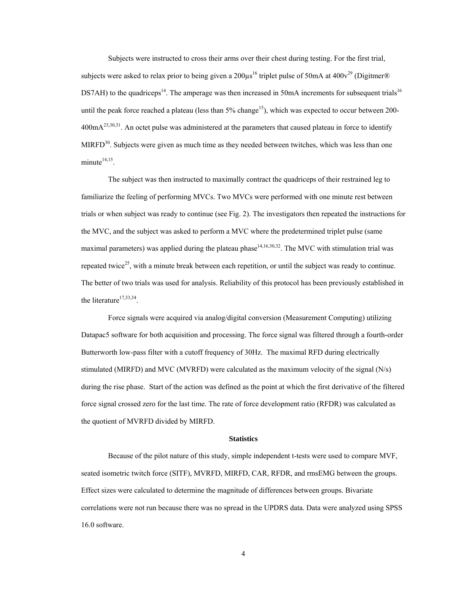Subjects were instructed to cross their arms over their chest during testing. For the first trial, subjects were asked to relax prior to being given a  $200 \mu s^{16}$  triplet pulse of 50mA at 400 $v^{29}$  (Digitmer® DS7AH) to the quadriceps<sup>14</sup>. The amperage was then increased in 50mA increments for subsequent trials<sup>16</sup> until the peak force reached a plateau (less than  $5\%$  change<sup>15</sup>), which was expected to occur between 200- $400 \text{mA}^{23,30,31}$ . An octet pulse was administered at the parameters that caused plateau in force to identify MIRFD<sup>30</sup>. Subjects were given as much time as they needed between twitches, which was less than one minute $14,15$ .

The subject was then instructed to maximally contract the quadriceps of their restrained leg to familiarize the feeling of performing MVCs. Two MVCs were performed with one minute rest between trials or when subject was ready to continue (see Fig. 2). The investigators then repeated the instructions for the MVC, and the subject was asked to perform a MVC where the predetermined triplet pulse (same maximal parameters) was applied during the plateau phase<sup>14,16,30,32</sup>. The MVC with stimulation trial was repeated twice<sup>25</sup>, with a minute break between each repetition, or until the subject was ready to continue. The better of two trials was used for analysis. Reliability of this protocol has been previously established in the literature<sup>17,33,34</sup>.

Force signals were acquired via analog/digital conversion (Measurement Computing) utilizing Datapac5 software for both acquisition and processing. The force signal was filtered through a fourth-order Butterworth low-pass filter with a cutoff frequency of 30Hz. The maximal RFD during electrically stimulated (MIRFD) and MVC (MVRFD) were calculated as the maximum velocity of the signal (N/s) during the rise phase. Start of the action was defined as the point at which the first derivative of the filtered force signal crossed zero for the last time. The rate of force development ratio (RFDR) was calculated as the quotient of MVRFD divided by MIRFD.

#### **Statistics**

Because of the pilot nature of this study, simple independent t-tests were used to compare MVF, seated isometric twitch force (SITF), MVRFD, MIRFD, CAR, RFDR, and rmsEMG between the groups. Effect sizes were calculated to determine the magnitude of differences between groups. Bivariate correlations were not run because there was no spread in the UPDRS data. Data were analyzed using SPSS 16.0 software.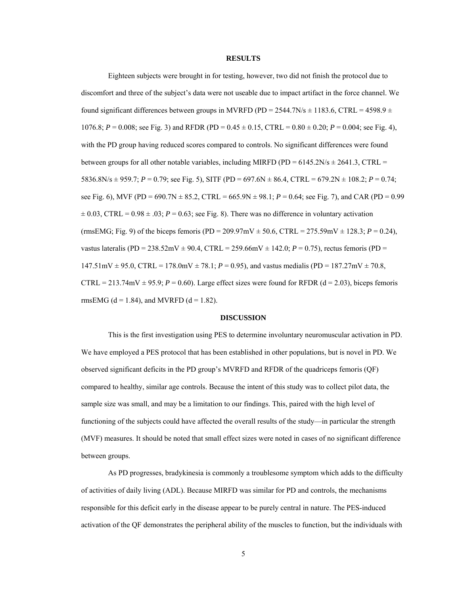### **RESULTS**

Eighteen subjects were brought in for testing, however, two did not finish the protocol due to discomfort and three of the subject's data were not useable due to impact artifact in the force channel. We found significant differences between groups in MVRFD (PD = 2544.7N/s  $\pm$  1183.6, CTRL = 4598.9  $\pm$ 1076.8;  $P = 0.008$ ; see Fig. 3) and RFDR (PD =  $0.45 \pm 0.15$ , CTRL =  $0.80 \pm 0.20$ ;  $P = 0.004$ ; see Fig. 4), with the PD group having reduced scores compared to controls. No significant differences were found between groups for all other notable variables, including MIRFD (PD =  $6145.2N/s \pm 2641.3$ , CTRL = 5836.8N/s  $\pm$  959.7; *P* = 0.79; see Fig. 5), SITF (PD = 697.6N  $\pm$  86.4, CTRL = 679.2N  $\pm$  108.2; *P* = 0.74; see Fig. 6), MVF (PD = 690.7N  $\pm$  85.2, CTRL = 665.9N  $\pm$  98.1; *P* = 0.64; see Fig. 7), and CAR (PD = 0.99  $\pm 0.03$ , CTRL =  $0.98 \pm .03$ ;  $P = 0.63$ ; see Fig. 8). There was no difference in voluntary activation (rmsEMG; Fig. 9) of the biceps femoris (PD = 209.97mV  $\pm$  50.6, CTRL = 275.59mV  $\pm$  128.3; *P* = 0.24), vastus lateralis (PD = 238.52mV  $\pm$  90.4, CTRL = 259.66mV  $\pm$  142.0; *P* = 0.75), rectus femoris (PD =  $147.51 \text{mV} \pm 95.0$ , CTRL =  $178.0 \text{mV} \pm 78.1$ ;  $P = 0.95$ ), and vastus medialis (PD =  $187.27 \text{mV} \pm 70.8$ , CTRL = 213.74mV  $\pm$  95.9; *P* = 0.60). Large effect sizes were found for RFDR (d = 2.03), biceps femoris rmsEMG ( $d = 1.84$ ), and MVRFD ( $d = 1.82$ ).

## **DISCUSSION**

 This is the first investigation using PES to determine involuntary neuromuscular activation in PD. We have employed a PES protocol that has been established in other populations, but is novel in PD. We observed significant deficits in the PD group's MVRFD and RFDR of the quadriceps femoris (QF) compared to healthy, similar age controls. Because the intent of this study was to collect pilot data, the sample size was small, and may be a limitation to our findings. This, paired with the high level of functioning of the subjects could have affected the overall results of the study—in particular the strength (MVF) measures. It should be noted that small effect sizes were noted in cases of no significant difference between groups.

 As PD progresses, bradykinesia is commonly a troublesome symptom which adds to the difficulty of activities of daily living (ADL). Because MIRFD was similar for PD and controls, the mechanisms responsible for this deficit early in the disease appear to be purely central in nature. The PES-induced activation of the QF demonstrates the peripheral ability of the muscles to function, but the individuals with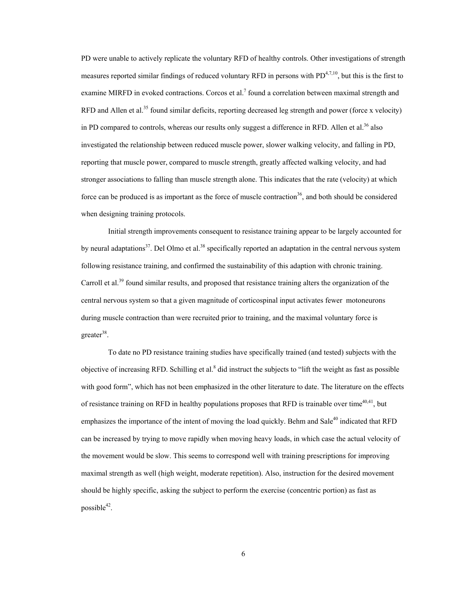PD were unable to actively replicate the voluntary RFD of healthy controls. Other investigations of strength measures reported similar findings of reduced voluntary RFD in persons with  $PD^{4,7,10}$ , but this is the first to examine MIRFD in evoked contractions. Corcos et al.<sup>7</sup> found a correlation between maximal strength and RFD and Allen et al.<sup>35</sup> found similar deficits, reporting decreased leg strength and power (force x velocity) in PD compared to controls, whereas our results only suggest a difference in RFD. Allen et al.<sup>36</sup> also investigated the relationship between reduced muscle power, slower walking velocity, and falling in PD, reporting that muscle power, compared to muscle strength, greatly affected walking velocity, and had stronger associations to falling than muscle strength alone. This indicates that the rate (velocity) at which force can be produced is as important as the force of muscle contraction<sup>36</sup>, and both should be considered when designing training protocols.

Initial strength improvements consequent to resistance training appear to be largely accounted for by neural adaptations<sup>37</sup>. Del Olmo et al.<sup>38</sup> specifically reported an adaptation in the central nervous system following resistance training, and confirmed the sustainability of this adaption with chronic training. Carroll et al.<sup>39</sup> found similar results, and proposed that resistance training alters the organization of the central nervous system so that a given magnitude of corticospinal input activates fewer motoneurons during muscle contraction than were recruited prior to training, and the maximal voluntary force is  $greater<sup>38</sup>$ .

To date no PD resistance training studies have specifically trained (and tested) subjects with the objective of increasing RFD. Schilling et al.<sup>8</sup> did instruct the subjects to "lift the weight as fast as possible with good form", which has not been emphasized in the other literature to date. The literature on the effects of resistance training on RFD in healthy populations proposes that RFD is trainable over time<sup>40,41</sup>, but emphasizes the importance of the intent of moving the load quickly. Behm and Sale<sup>40</sup> indicated that RFD can be increased by trying to move rapidly when moving heavy loads, in which case the actual velocity of the movement would be slow. This seems to correspond well with training prescriptions for improving maximal strength as well (high weight, moderate repetition). Also, instruction for the desired movement should be highly specific, asking the subject to perform the exercise (concentric portion) as fast as possible $42$ .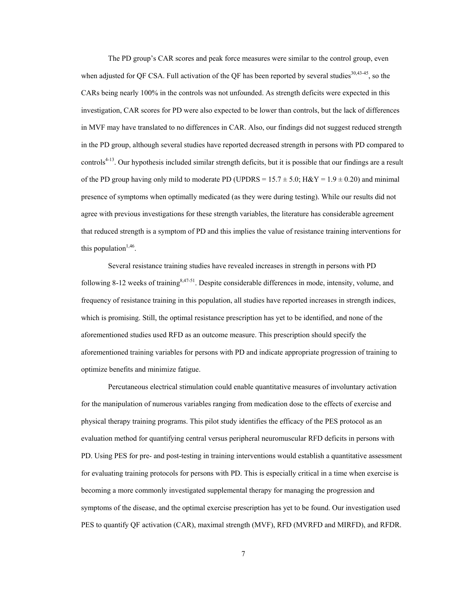The PD group's CAR scores and peak force measures were similar to the control group, even when adjusted for QF CSA. Full activation of the QF has been reported by several studies<sup>30,43-45</sup>, so the CARs being nearly 100% in the controls was not unfounded. As strength deficits were expected in this investigation, CAR scores for PD were also expected to be lower than controls, but the lack of differences in MVF may have translated to no differences in CAR. Also, our findings did not suggest reduced strength in the PD group, although several studies have reported decreased strength in persons with PD compared to controls<sup>4-13</sup>. Our hypothesis included similar strength deficits, but it is possible that our findings are a result of the PD group having only mild to moderate PD (UPDRS =  $15.7 \pm 5.0$ ; H&Y =  $1.9 \pm 0.20$ ) and minimal presence of symptoms when optimally medicated (as they were during testing). While our results did not agree with previous investigations for these strength variables, the literature has considerable agreement that reduced strength is a symptom of PD and this implies the value of resistance training interventions for this population<sup> $1,46$ </sup>.

Several resistance training studies have revealed increases in strength in persons with PD following 8-12 weeks of training  $8,47-51$ . Despite considerable differences in mode, intensity, volume, and frequency of resistance training in this population, all studies have reported increases in strength indices, which is promising. Still, the optimal resistance prescription has yet to be identified, and none of the aforementioned studies used RFD as an outcome measure. This prescription should specify the aforementioned training variables for persons with PD and indicate appropriate progression of training to optimize benefits and minimize fatigue.

 Percutaneous electrical stimulation could enable quantitative measures of involuntary activation for the manipulation of numerous variables ranging from medication dose to the effects of exercise and physical therapy training programs. This pilot study identifies the efficacy of the PES protocol as an evaluation method for quantifying central versus peripheral neuromuscular RFD deficits in persons with PD. Using PES for pre- and post-testing in training interventions would establish a quantitative assessment for evaluating training protocols for persons with PD. This is especially critical in a time when exercise is becoming a more commonly investigated supplemental therapy for managing the progression and symptoms of the disease, and the optimal exercise prescription has yet to be found. Our investigation used PES to quantify QF activation (CAR), maximal strength (MVF), RFD (MVRFD and MIRFD), and RFDR.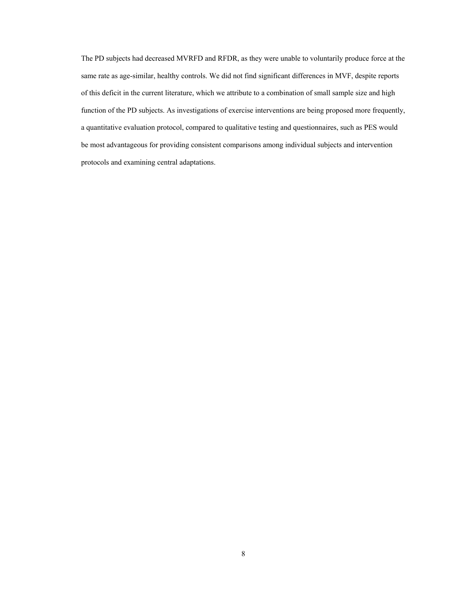The PD subjects had decreased MVRFD and RFDR, as they were unable to voluntarily produce force at the same rate as age-similar, healthy controls. We did not find significant differences in MVF, despite reports of this deficit in the current literature, which we attribute to a combination of small sample size and high function of the PD subjects. As investigations of exercise interventions are being proposed more frequently, a quantitative evaluation protocol, compared to qualitative testing and questionnaires, such as PES would be most advantageous for providing consistent comparisons among individual subjects and intervention protocols and examining central adaptations.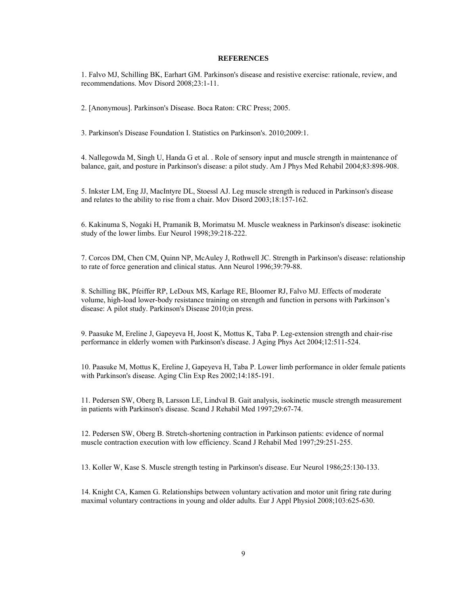# **REFERENCES**

1. Falvo MJ, Schilling BK, Earhart GM. Parkinson's disease and resistive exercise: rationale, review, and recommendations. Mov Disord 2008;23:1-11.

2. [Anonymous]. Parkinson's Disease. Boca Raton: CRC Press; 2005.

3. Parkinson's Disease Foundation I. Statistics on Parkinson's. 2010;2009:1.

4. Nallegowda M, Singh U, Handa G et al. . Role of sensory input and muscle strength in maintenance of balance, gait, and posture in Parkinson's disease: a pilot study. Am J Phys Med Rehabil 2004;83:898-908.

5. Inkster LM, Eng JJ, MacIntyre DL, Stoessl AJ. Leg muscle strength is reduced in Parkinson's disease and relates to the ability to rise from a chair. Mov Disord 2003;18:157-162.

6. Kakinuma S, Nogaki H, Pramanik B, Morimatsu M. Muscle weakness in Parkinson's disease: isokinetic study of the lower limbs. Eur Neurol 1998;39:218-222.

7. Corcos DM, Chen CM, Quinn NP, McAuley J, Rothwell JC. Strength in Parkinson's disease: relationship to rate of force generation and clinical status. Ann Neurol 1996;39:79-88.

8. Schilling BK, Pfeiffer RP, LeDoux MS, Karlage RE, Bloomer RJ, Falvo MJ. Effects of moderate volume, high-load lower-body resistance training on strength and function in persons with Parkinson's disease: A pilot study. Parkinson's Disease 2010;in press.

9. Paasuke M, Ereline J, Gapeyeva H, Joost K, Mottus K, Taba P. Leg-extension strength and chair-rise performance in elderly women with Parkinson's disease. J Aging Phys Act 2004;12:511-524.

10. Paasuke M, Mottus K, Ereline J, Gapeyeva H, Taba P. Lower limb performance in older female patients with Parkinson's disease. Aging Clin Exp Res 2002;14:185-191.

11. Pedersen SW, Oberg B, Larsson LE, Lindval B. Gait analysis, isokinetic muscle strength measurement in patients with Parkinson's disease. Scand J Rehabil Med 1997;29:67-74.

12. Pedersen SW, Oberg B. Stretch-shortening contraction in Parkinson patients: evidence of normal muscle contraction execution with low efficiency. Scand J Rehabil Med 1997;29:251-255.

13. Koller W, Kase S. Muscle strength testing in Parkinson's disease. Eur Neurol 1986;25:130-133.

14. Knight CA, Kamen G. Relationships between voluntary activation and motor unit firing rate during maximal voluntary contractions in young and older adults. Eur J Appl Physiol 2008;103:625-630.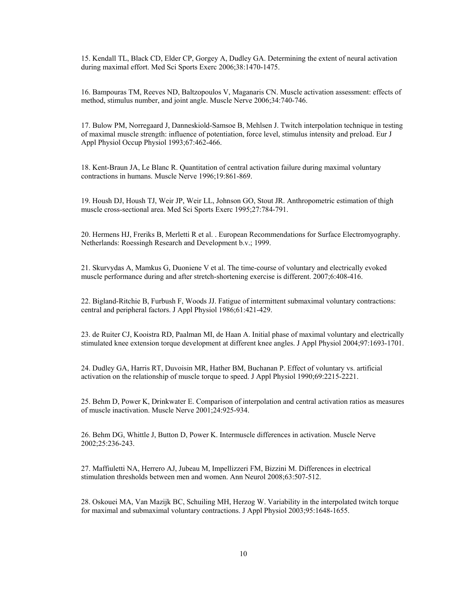15. Kendall TL, Black CD, Elder CP, Gorgey A, Dudley GA. Determining the extent of neural activation during maximal effort. Med Sci Sports Exerc 2006;38:1470-1475.

16. Bampouras TM, Reeves ND, Baltzopoulos V, Maganaris CN. Muscle activation assessment: effects of method, stimulus number, and joint angle. Muscle Nerve 2006;34:740-746.

17. Bulow PM, Norregaard J, Danneskiold-Samsoe B, Mehlsen J. Twitch interpolation technique in testing of maximal muscle strength: influence of potentiation, force level, stimulus intensity and preload. Eur J Appl Physiol Occup Physiol 1993;67:462-466.

18. Kent-Braun JA, Le Blanc R. Quantitation of central activation failure during maximal voluntary contractions in humans. Muscle Nerve 1996;19:861-869.

19. Housh DJ, Housh TJ, Weir JP, Weir LL, Johnson GO, Stout JR. Anthropometric estimation of thigh muscle cross-sectional area. Med Sci Sports Exerc 1995;27:784-791.

20. Hermens HJ, Freriks B, Merletti R et al. . European Recommendations for Surface Electromyography. Netherlands: Roessingh Research and Development b.v.; 1999.

21. Skurvydas A, Mamkus G, Duoniene V et al. The time-course of voluntary and electrically evoked muscle performance during and after stretch-shortening exercise is different. 2007;6:408-416.

22. Bigland-Ritchie B, Furbush F, Woods JJ. Fatigue of intermittent submaximal voluntary contractions: central and peripheral factors. J Appl Physiol 1986;61:421-429.

23. de Ruiter CJ, Kooistra RD, Paalman MI, de Haan A. Initial phase of maximal voluntary and electrically stimulated knee extension torque development at different knee angles. J Appl Physiol 2004;97:1693-1701.

24. Dudley GA, Harris RT, Duvoisin MR, Hather BM, Buchanan P. Effect of voluntary vs. artificial activation on the relationship of muscle torque to speed. J Appl Physiol 1990;69:2215-2221.

25. Behm D, Power K, Drinkwater E. Comparison of interpolation and central activation ratios as measures of muscle inactivation. Muscle Nerve 2001;24:925-934.

26. Behm DG, Whittle J, Button D, Power K. Intermuscle differences in activation. Muscle Nerve 2002;25:236-243.

27. Maffiuletti NA, Herrero AJ, Jubeau M, Impellizzeri FM, Bizzini M. Differences in electrical stimulation thresholds between men and women. Ann Neurol 2008;63:507-512.

28. Oskouei MA, Van Mazijk BC, Schuiling MH, Herzog W. Variability in the interpolated twitch torque for maximal and submaximal voluntary contractions. J Appl Physiol 2003;95:1648-1655.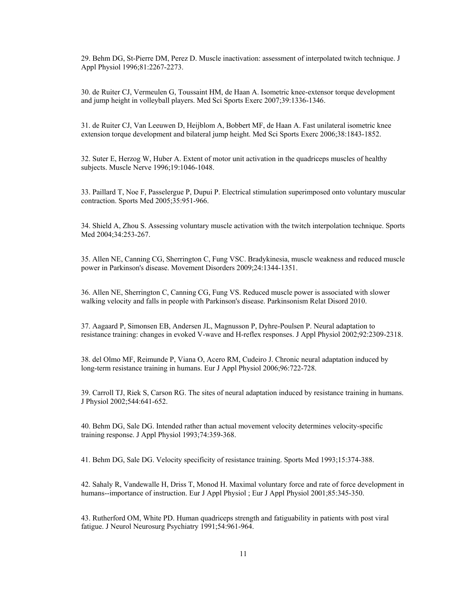29. Behm DG, St-Pierre DM, Perez D. Muscle inactivation: assessment of interpolated twitch technique. J Appl Physiol 1996;81:2267-2273.

30. de Ruiter CJ, Vermeulen G, Toussaint HM, de Haan A. Isometric knee-extensor torque development and jump height in volleyball players. Med Sci Sports Exerc 2007;39:1336-1346.

31. de Ruiter CJ, Van Leeuwen D, Heijblom A, Bobbert MF, de Haan A. Fast unilateral isometric knee extension torque development and bilateral jump height. Med Sci Sports Exerc 2006;38:1843-1852.

32. Suter E, Herzog W, Huber A. Extent of motor unit activation in the quadriceps muscles of healthy subjects. Muscle Nerve 1996;19:1046-1048.

33. Paillard T, Noe F, Passelergue P, Dupui P. Electrical stimulation superimposed onto voluntary muscular contraction. Sports Med 2005;35:951-966.

34. Shield A, Zhou S. Assessing voluntary muscle activation with the twitch interpolation technique. Sports Med 2004;34:253-267.

35. Allen NE, Canning CG, Sherrington C, Fung VSC. Bradykinesia, muscle weakness and reduced muscle power in Parkinson's disease. Movement Disorders 2009;24:1344-1351.

36. Allen NE, Sherrington C, Canning CG, Fung VS. Reduced muscle power is associated with slower walking velocity and falls in people with Parkinson's disease. Parkinsonism Relat Disord 2010.

37. Aagaard P, Simonsen EB, Andersen JL, Magnusson P, Dyhre-Poulsen P. Neural adaptation to resistance training: changes in evoked V-wave and H-reflex responses. J Appl Physiol 2002;92:2309-2318.

38. del Olmo MF, Reimunde P, Viana O, Acero RM, Cudeiro J. Chronic neural adaptation induced by long-term resistance training in humans. Eur J Appl Physiol 2006;96:722-728.

39. Carroll TJ, Riek S, Carson RG. The sites of neural adaptation induced by resistance training in humans. J Physiol 2002;544:641-652.

40. Behm DG, Sale DG. Intended rather than actual movement velocity determines velocity-specific training response. J Appl Physiol 1993;74:359-368.

41. Behm DG, Sale DG. Velocity specificity of resistance training. Sports Med 1993;15:374-388.

42. Sahaly R, Vandewalle H, Driss T, Monod H. Maximal voluntary force and rate of force development in humans--importance of instruction. Eur J Appl Physiol ; Eur J Appl Physiol 2001;85:345-350.

43. Rutherford OM, White PD. Human quadriceps strength and fatiguability in patients with post viral fatigue. J Neurol Neurosurg Psychiatry 1991;54:961-964.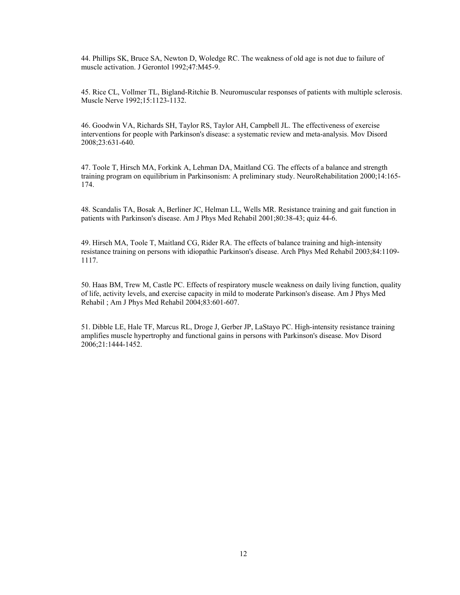44. Phillips SK, Bruce SA, Newton D, Woledge RC. The weakness of old age is not due to failure of muscle activation. J Gerontol 1992;47:M45-9.

45. Rice CL, Vollmer TL, Bigland-Ritchie B. Neuromuscular responses of patients with multiple sclerosis. Muscle Nerve 1992;15:1123-1132.

46. Goodwin VA, Richards SH, Taylor RS, Taylor AH, Campbell JL. The effectiveness of exercise interventions for people with Parkinson's disease: a systematic review and meta-analysis. Mov Disord 2008;23:631-640.

47. Toole T, Hirsch MA, Forkink A, Lehman DA, Maitland CG. The effects of a balance and strength training program on equilibrium in Parkinsonism: A preliminary study. NeuroRehabilitation 2000;14:165- 174.

48. Scandalis TA, Bosak A, Berliner JC, Helman LL, Wells MR. Resistance training and gait function in patients with Parkinson's disease. Am J Phys Med Rehabil 2001;80:38-43; quiz 44-6.

49. Hirsch MA, Toole T, Maitland CG, Rider RA. The effects of balance training and high-intensity resistance training on persons with idiopathic Parkinson's disease. Arch Phys Med Rehabil 2003;84:1109- 1117.

50. Haas BM, Trew M, Castle PC. Effects of respiratory muscle weakness on daily living function, quality of life, activity levels, and exercise capacity in mild to moderate Parkinson's disease. Am J Phys Med Rehabil ; Am J Phys Med Rehabil 2004;83:601-607.

51. Dibble LE, Hale TF, Marcus RL, Droge J, Gerber JP, LaStayo PC. High-intensity resistance training amplifies muscle hypertrophy and functional gains in persons with Parkinson's disease. Mov Disord 2006;21:1444-1452.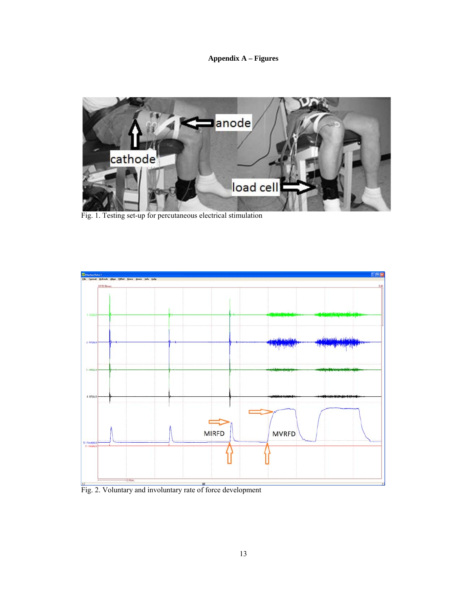**Appendix A – Figures** 



Fig. 1. Testing set-up for percutaneous electrical stimulation



Fig. 2. Voluntary and involuntary rate of force development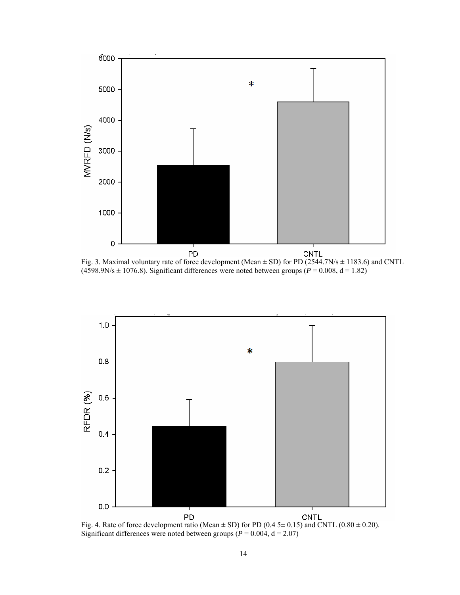

Fig. 3. Maximal voluntary rate of force development (Mean  $\pm$  SD) for PD (2544.7N/s  $\pm$  1183.6) and CNTL  $(4598.9N/s \pm 1076.8)$ . Significant differences were noted between groups ( $P = 0.008$ ,  $d = 1.82$ )



Fig. 4. Rate of force development ratio (Mean  $\pm$  SD) for PD (0.4 5 $\pm$  0.15) and CNTL (0.80  $\pm$  0.20). Significant differences were noted between groups ( $P = 0.004$ ,  $d = 2.07$ )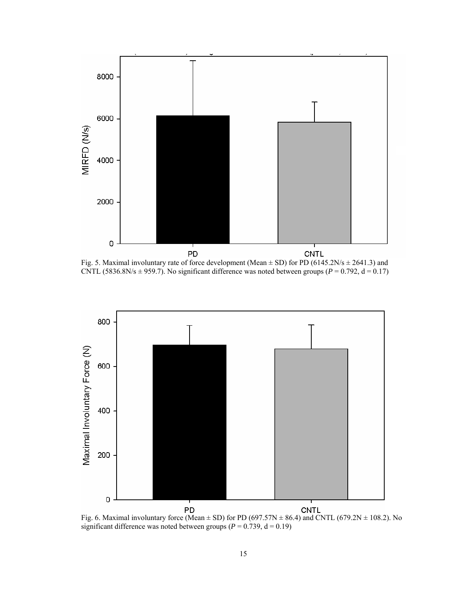

Fig. 5. Maximal involuntary rate of force development (Mean  $\pm$  SD) for PD (6145.2N/s  $\pm$  2641.3) and CNTL (5836.8N/s  $\pm$  959.7). No significant difference was noted between groups ( $P = 0.792$ ,  $d = 0.17$ )



Fig. 6. Maximal involuntary force (Mean  $\pm$  SD) for PD (697.57N  $\pm$  86.4) and CNTL (679.2N  $\pm$  108.2). No significant difference was noted between groups ( $P = 0.739$ ,  $d = 0.19$ )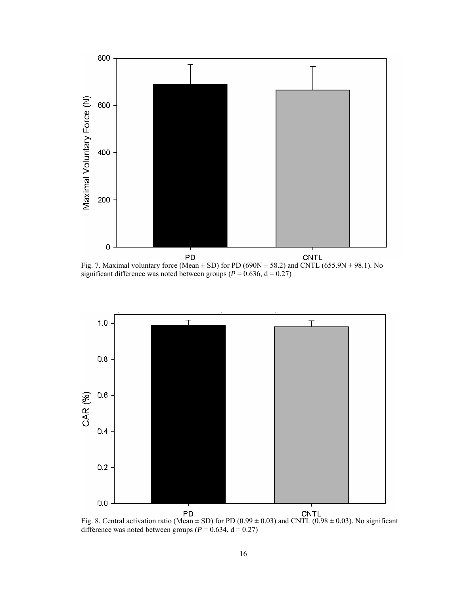

significant difference was noted between groups ( $P = 0.636$ ,  $d = 0.27$ )



Fig. 8. Central activation ratio (Mean  $\pm$  SD) for PD (0.99  $\pm$  0.03) and CNTL (0.98  $\pm$  0.03). No significant difference was noted between groups ( $P = 0.634$ ,  $d = 0.27$ )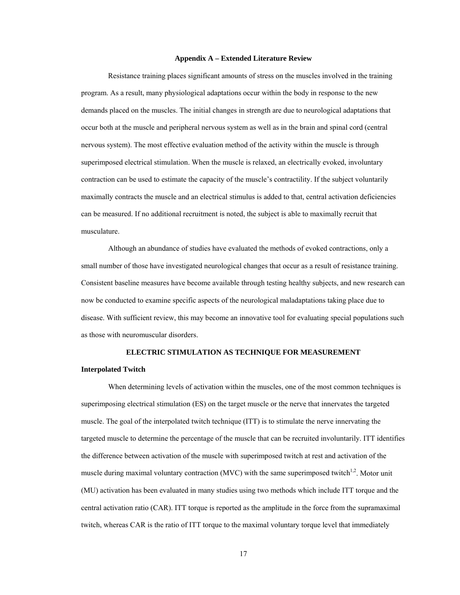#### **Appendix A – Extended Literature Review**

Resistance training places significant amounts of stress on the muscles involved in the training program. As a result, many physiological adaptations occur within the body in response to the new demands placed on the muscles. The initial changes in strength are due to neurological adaptations that occur both at the muscle and peripheral nervous system as well as in the brain and spinal cord (central nervous system). The most effective evaluation method of the activity within the muscle is through superimposed electrical stimulation. When the muscle is relaxed, an electrically evoked, involuntary contraction can be used to estimate the capacity of the muscle's contractility. If the subject voluntarily maximally contracts the muscle and an electrical stimulus is added to that, central activation deficiencies can be measured. If no additional recruitment is noted, the subject is able to maximally recruit that musculature.

Although an abundance of studies have evaluated the methods of evoked contractions, only a small number of those have investigated neurological changes that occur as a result of resistance training. Consistent baseline measures have become available through testing healthy subjects, and new research can now be conducted to examine specific aspects of the neurological maladaptations taking place due to disease. With sufficient review, this may become an innovative tool for evaluating special populations such as those with neuromuscular disorders.

# **ELECTRIC STIMULATION AS TECHNIQUE FOR MEASUREMENT Interpolated Twitch**

When determining levels of activation within the muscles, one of the most common techniques is superimposing electrical stimulation (ES) on the target muscle or the nerve that innervates the targeted muscle. The goal of the interpolated twitch technique (ITT) is to stimulate the nerve innervating the targeted muscle to determine the percentage of the muscle that can be recruited involuntarily. ITT identifies the difference between activation of the muscle with superimposed twitch at rest and activation of the muscle during maximal voluntary contraction (MVC) with the same superimposed twitch<sup>1,2</sup>. Motor unit (MU) activation has been evaluated in many studies using two methods which include ITT torque and the central activation ratio (CAR). ITT torque is reported as the amplitude in the force from the supramaximal twitch, whereas CAR is the ratio of ITT torque to the maximal voluntary torque level that immediately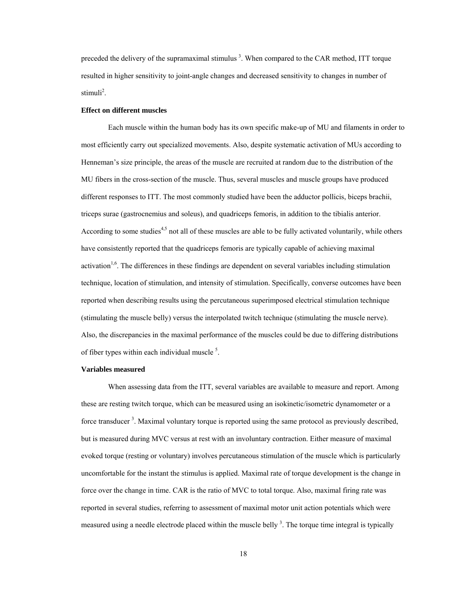preceded the delivery of the supramaximal stimulus<sup>3</sup>. When compared to the CAR method, ITT torque resulted in higher sensitivity to joint-angle changes and decreased sensitivity to changes in number of stimuli<sup>2</sup>.

#### **Effect on different muscles**

Each muscle within the human body has its own specific make-up of MU and filaments in order to most efficiently carry out specialized movements. Also, despite systematic activation of MUs according to Henneman's size principle, the areas of the muscle are recruited at random due to the distribution of the MU fibers in the cross-section of the muscle. Thus, several muscles and muscle groups have produced different responses to ITT. The most commonly studied have been the adductor pollicis, biceps brachii, triceps surae (gastrocnemius and soleus), and quadriceps femoris, in addition to the tibialis anterior. According to some studies<sup>4,5</sup> not all of these muscles are able to be fully activated voluntarily, while others have consistently reported that the quadriceps femoris are typically capable of achieving maximal activation<sup>1,6</sup>. The differences in these findings are dependent on several variables including stimulation technique, location of stimulation, and intensity of stimulation. Specifically, converse outcomes have been reported when describing results using the percutaneous superimposed electrical stimulation technique (stimulating the muscle belly) versus the interpolated twitch technique (stimulating the muscle nerve). Also, the discrepancies in the maximal performance of the muscles could be due to differing distributions of fiber types within each individual muscle<sup>5</sup>.

#### **Variables measured**

When assessing data from the ITT, several variables are available to measure and report. Among these are resting twitch torque, which can be measured using an isokinetic/isometric dynamometer or a force transducer<sup>3</sup>. Maximal voluntary torque is reported using the same protocol as previously described, but is measured during MVC versus at rest with an involuntary contraction. Either measure of maximal evoked torque (resting or voluntary) involves percutaneous stimulation of the muscle which is particularly uncomfortable for the instant the stimulus is applied. Maximal rate of torque development is the change in force over the change in time. CAR is the ratio of MVC to total torque. Also, maximal firing rate was reported in several studies, referring to assessment of maximal motor unit action potentials which were measured using a needle electrode placed within the muscle belly <sup>3</sup>. The torque time integral is typically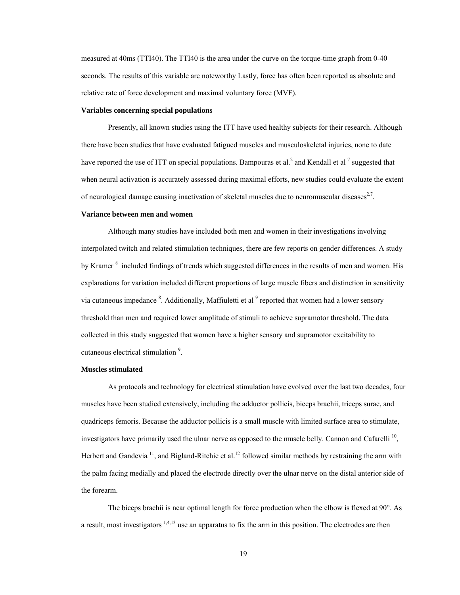measured at 40ms (TTI40). The TTI40 is the area under the curve on the torque-time graph from 0-40 seconds. The results of this variable are noteworthy Lastly, force has often been reported as absolute and relative rate of force development and maximal voluntary force (MVF).

#### **Variables concerning special populations**

Presently, all known studies using the ITT have used healthy subjects for their research. Although there have been studies that have evaluated fatigued muscles and musculoskeletal injuries, none to date have reported the use of ITT on special populations. Bampouras et al.<sup>2</sup> and Kendall et al  $^7$  suggested that when neural activation is accurately assessed during maximal efforts, new studies could evaluate the extent of neurological damage causing inactivation of skeletal muscles due to neuromuscular diseases<sup>2,7</sup>.

#### **Variance between men and women**

Although many studies have included both men and women in their investigations involving interpolated twitch and related stimulation techniques, there are few reports on gender differences. A study by Kramer<sup>8</sup> included findings of trends which suggested differences in the results of men and women. His explanations for variation included different proportions of large muscle fibers and distinction in sensitivity via cutaneous impedance <sup>8</sup>. Additionally, Maffiuletti et al <sup>9</sup> reported that women had a lower sensory threshold than men and required lower amplitude of stimuli to achieve supramotor threshold. The data collected in this study suggested that women have a higher sensory and supramotor excitability to cutaneous electrical stimulation<sup>9</sup>.

# **Muscles stimulated**

As protocols and technology for electrical stimulation have evolved over the last two decades, four muscles have been studied extensively, including the adductor pollicis, biceps brachii, triceps surae, and quadriceps femoris. Because the adductor pollicis is a small muscle with limited surface area to stimulate, investigators have primarily used the ulnar nerve as opposed to the muscle belly. Cannon and Cafarelli<sup>10</sup>. Herbert and Gandevia  $11$ , and Bigland-Ritchie et al.<sup>12</sup> followed similar methods by restraining the arm with the palm facing medially and placed the electrode directly over the ulnar nerve on the distal anterior side of the forearm.

The biceps brachii is near optimal length for force production when the elbow is flexed at 90°. As a result, most investigators <sup>1,4,13</sup> use an apparatus to fix the arm in this position. The electrodes are then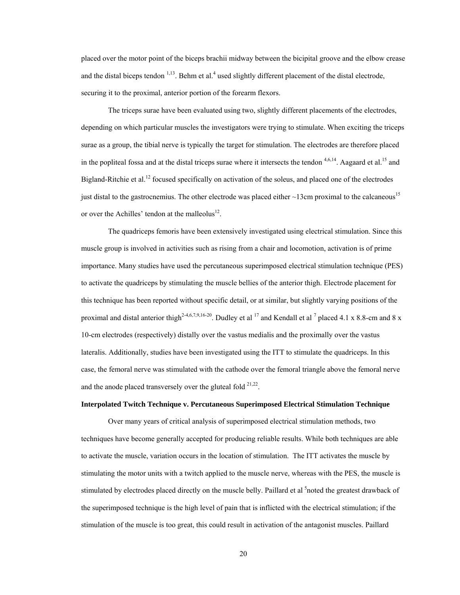placed over the motor point of the biceps brachii midway between the bicipital groove and the elbow crease and the distal biceps tendon  $1,13$ . Behm et al.<sup>4</sup> used slightly different placement of the distal electrode, securing it to the proximal, anterior portion of the forearm flexors.

The triceps surae have been evaluated using two, slightly different placements of the electrodes, depending on which particular muscles the investigators were trying to stimulate. When exciting the triceps surae as a group, the tibial nerve is typically the target for stimulation. The electrodes are therefore placed in the popliteal fossa and at the distal triceps surae where it intersects the tendon  $4,6,14$ . Aagaard et al.<sup>15</sup> and Bigland-Ritchie et al.<sup>12</sup> focused specifically on activation of the soleus, and placed one of the electrodes just distal to the gastrocnemius. The other electrode was placed either  $\sim$ 13cm proximal to the calcaneous<sup>15</sup> or over the Achilles' tendon at the malleolus $^{12}$ .

The quadriceps femoris have been extensively investigated using electrical stimulation. Since this muscle group is involved in activities such as rising from a chair and locomotion, activation is of prime importance. Many studies have used the percutaneous superimposed electrical stimulation technique (PES) to activate the quadriceps by stimulating the muscle bellies of the anterior thigh. Electrode placement for this technique has been reported without specific detail, or at similar, but slightly varying positions of the proximal and distal anterior thigh<sup>2-4,6,7,9,16-20</sup>. Dudley et al <sup>17</sup> and Kendall et al <sup>7</sup> placed 4.1 x 8.8-cm and 8 x 10-cm electrodes (respectively) distally over the vastus medialis and the proximally over the vastus lateralis. Additionally, studies have been investigated using the ITT to stimulate the quadriceps. In this case, the femoral nerve was stimulated with the cathode over the femoral triangle above the femoral nerve and the anode placed transversely over the gluteal fold  $21,22$ .

# **Interpolated Twitch Technique v. Percutaneous Superimposed Electrical Stimulation Technique**

Over many years of critical analysis of superimposed electrical stimulation methods, two techniques have become generally accepted for producing reliable results. While both techniques are able to activate the muscle, variation occurs in the location of stimulation. The ITT activates the muscle by stimulating the motor units with a twitch applied to the muscle nerve, whereas with the PES, the muscle is stimulated by electrodes placed directly on the muscle belly. Paillard et al <sup>5</sup>noted the greatest drawback of the superimposed technique is the high level of pain that is inflicted with the electrical stimulation; if the stimulation of the muscle is too great, this could result in activation of the antagonist muscles. Paillard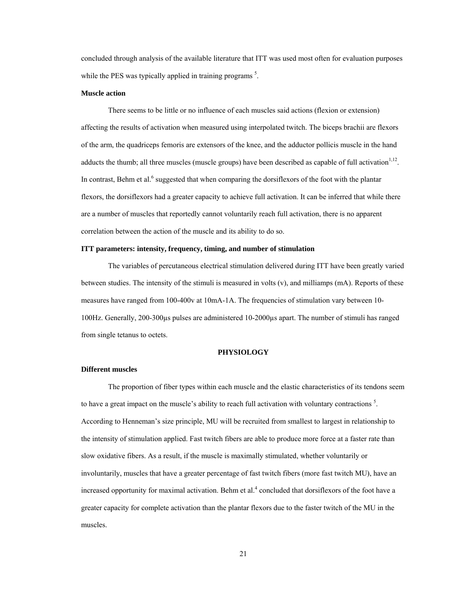concluded through analysis of the available literature that ITT was used most often for evaluation purposes while the PES was typically applied in training programs  $<sup>5</sup>$ .</sup>

#### **Muscle action**

There seems to be little or no influence of each muscles said actions (flexion or extension) affecting the results of activation when measured using interpolated twitch. The biceps brachii are flexors of the arm, the quadriceps femoris are extensors of the knee, and the adductor pollicis muscle in the hand adducts the thumb; all three muscles (muscle groups) have been described as capable of full activation $^{1,12}$ . In contrast, Behm et al. $<sup>6</sup>$  suggested that when comparing the dorsiflexors of the foot with the plantar</sup> flexors, the dorsiflexors had a greater capacity to achieve full activation. It can be inferred that while there are a number of muscles that reportedly cannot voluntarily reach full activation, there is no apparent correlation between the action of the muscle and its ability to do so.

# **ITT parameters: intensity, frequency, timing, and number of stimulation**

The variables of percutaneous electrical stimulation delivered during ITT have been greatly varied between studies. The intensity of the stimuli is measured in volts (v), and milliamps (mA). Reports of these measures have ranged from 100-400v at 10mA-1A. The frequencies of stimulation vary between 10- 100Hz. Generally, 200-300µs pulses are administered 10-2000µs apart. The number of stimuli has ranged from single tetanus to octets.

# **PHYSIOLOGY**

#### **Different muscles**

The proportion of fiber types within each muscle and the elastic characteristics of its tendons seem to have a great impact on the muscle's ability to reach full activation with voluntary contractions<sup>5</sup>. According to Henneman's size principle, MU will be recruited from smallest to largest in relationship to the intensity of stimulation applied. Fast twitch fibers are able to produce more force at a faster rate than slow oxidative fibers. As a result, if the muscle is maximally stimulated, whether voluntarily or involuntarily, muscles that have a greater percentage of fast twitch fibers (more fast twitch MU), have an increased opportunity for maximal activation. Behm et al.<sup>4</sup> concluded that dorsiflexors of the foot have a greater capacity for complete activation than the plantar flexors due to the faster twitch of the MU in the muscles.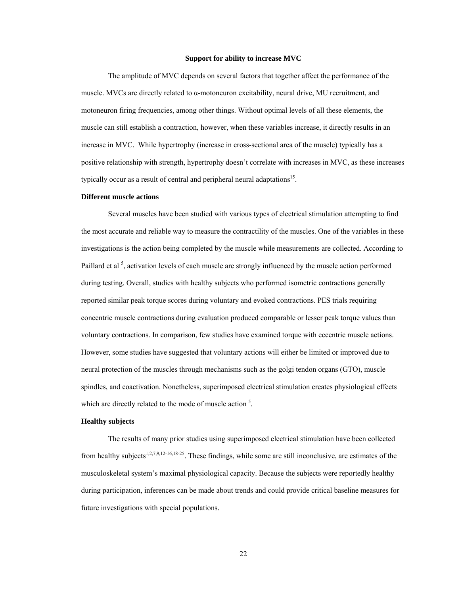#### **Support for ability to increase MVC**

The amplitude of MVC depends on several factors that together affect the performance of the muscle. MVCs are directly related to  $\alpha$ -motoneuron excitability, neural drive, MU recruitment, and motoneuron firing frequencies, among other things. Without optimal levels of all these elements, the muscle can still establish a contraction, however, when these variables increase, it directly results in an increase in MVC. While hypertrophy (increase in cross-sectional area of the muscle) typically has a positive relationship with strength, hypertrophy doesn't correlate with increases in MVC, as these increases typically occur as a result of central and peripheral neural adaptations<sup>15</sup>.

# **Different muscle actions**

Several muscles have been studied with various types of electrical stimulation attempting to find the most accurate and reliable way to measure the contractility of the muscles. One of the variables in these investigations is the action being completed by the muscle while measurements are collected. According to Paillard et al<sup>5</sup>, activation levels of each muscle are strongly influenced by the muscle action performed during testing. Overall, studies with healthy subjects who performed isometric contractions generally reported similar peak torque scores during voluntary and evoked contractions. PES trials requiring concentric muscle contractions during evaluation produced comparable or lesser peak torque values than voluntary contractions. In comparison, few studies have examined torque with eccentric muscle actions. However, some studies have suggested that voluntary actions will either be limited or improved due to neural protection of the muscles through mechanisms such as the golgi tendon organs (GTO), muscle spindles, and coactivation. Nonetheless, superimposed electrical stimulation creates physiological effects which are directly related to the mode of muscle action  $5$ .

# **Healthy subjects**

The results of many prior studies using superimposed electrical stimulation have been collected from healthy subjects<sup>1,2,7,9,12-16,18-25</sup>. These findings, while some are still inconclusive, are estimates of the musculoskeletal system's maximal physiological capacity. Because the subjects were reportedly healthy during participation, inferences can be made about trends and could provide critical baseline measures for future investigations with special populations.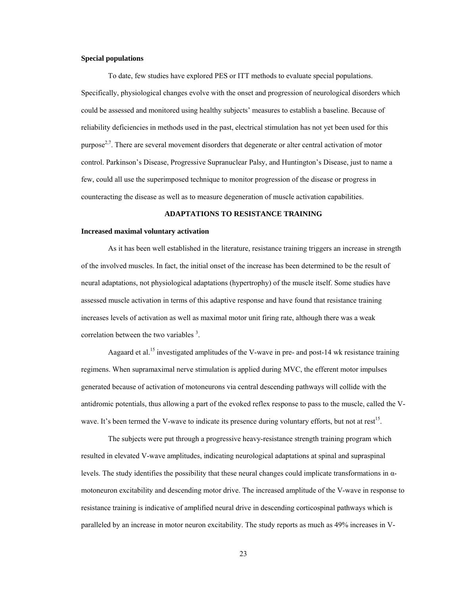## **Special populations**

To date, few studies have explored PES or ITT methods to evaluate special populations. Specifically, physiological changes evolve with the onset and progression of neurological disorders which could be assessed and monitored using healthy subjects' measures to establish a baseline. Because of reliability deficiencies in methods used in the past, electrical stimulation has not yet been used for this purpose<sup> $2,7$ </sup>. There are several movement disorders that degenerate or alter central activation of motor control. Parkinson's Disease, Progressive Supranuclear Palsy, and Huntington's Disease, just to name a few, could all use the superimposed technique to monitor progression of the disease or progress in counteracting the disease as well as to measure degeneration of muscle activation capabilities.

## **ADAPTATIONS TO RESISTANCE TRAINING**

#### **Increased maximal voluntary activation**

As it has been well established in the literature, resistance training triggers an increase in strength of the involved muscles. In fact, the initial onset of the increase has been determined to be the result of neural adaptations, not physiological adaptations (hypertrophy) of the muscle itself. Some studies have assessed muscle activation in terms of this adaptive response and have found that resistance training increases levels of activation as well as maximal motor unit firing rate, although there was a weak correlation between the two variables  $3$ .

Aagaard et al.<sup>15</sup> investigated amplitudes of the V-wave in pre- and post-14 wk resistance training regimens. When supramaximal nerve stimulation is applied during MVC, the efferent motor impulses generated because of activation of motoneurons via central descending pathways will collide with the antidromic potentials, thus allowing a part of the evoked reflex response to pass to the muscle, called the Vwave. It's been termed the V-wave to indicate its presence during voluntary efforts, but not at rest<sup>15</sup>.

The subjects were put through a progressive heavy-resistance strength training program which resulted in elevated V-wave amplitudes, indicating neurological adaptations at spinal and supraspinal levels. The study identifies the possibility that these neural changes could implicate transformations in αmotoneuron excitability and descending motor drive. The increased amplitude of the V-wave in response to resistance training is indicative of amplified neural drive in descending corticospinal pathways which is paralleled by an increase in motor neuron excitability. The study reports as much as 49% increases in V-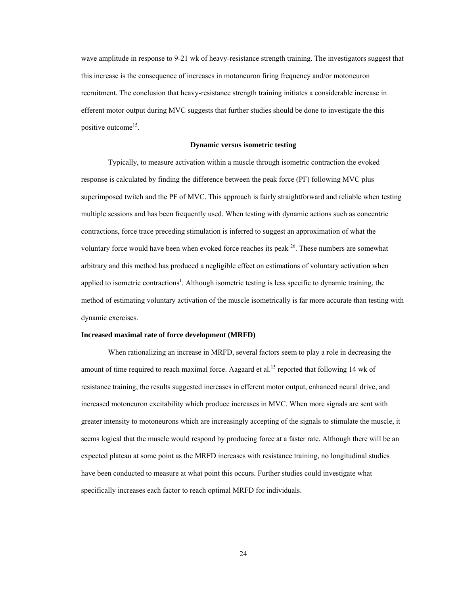wave amplitude in response to 9-21 wk of heavy-resistance strength training. The investigators suggest that this increase is the consequence of increases in motoneuron firing frequency and/or motoneuron recruitment. The conclusion that heavy-resistance strength training initiates a considerable increase in efferent motor output during MVC suggests that further studies should be done to investigate the this positive outcome<sup>15</sup>.

#### **Dynamic versus isometric testing**

Typically, to measure activation within a muscle through isometric contraction the evoked response is calculated by finding the difference between the peak force (PF) following MVC plus superimposed twitch and the PF of MVC. This approach is fairly straightforward and reliable when testing multiple sessions and has been frequently used. When testing with dynamic actions such as concentric contractions, force trace preceding stimulation is inferred to suggest an approximation of what the voluntary force would have been when evoked force reaches its peak  $^{26}$ . These numbers are somewhat arbitrary and this method has produced a negligible effect on estimations of voluntary activation when applied to isometric contractions<sup>1</sup>. Although isometric testing is less specific to dynamic training, the method of estimating voluntary activation of the muscle isometrically is far more accurate than testing with dynamic exercises.

## **Increased maximal rate of force development (MRFD)**

When rationalizing an increase in MRFD, several factors seem to play a role in decreasing the amount of time required to reach maximal force. Aagaard et al.<sup>15</sup> reported that following 14 wk of resistance training, the results suggested increases in efferent motor output, enhanced neural drive, and increased motoneuron excitability which produce increases in MVC. When more signals are sent with greater intensity to motoneurons which are increasingly accepting of the signals to stimulate the muscle, it seems logical that the muscle would respond by producing force at a faster rate. Although there will be an expected plateau at some point as the MRFD increases with resistance training, no longitudinal studies have been conducted to measure at what point this occurs. Further studies could investigate what specifically increases each factor to reach optimal MRFD for individuals.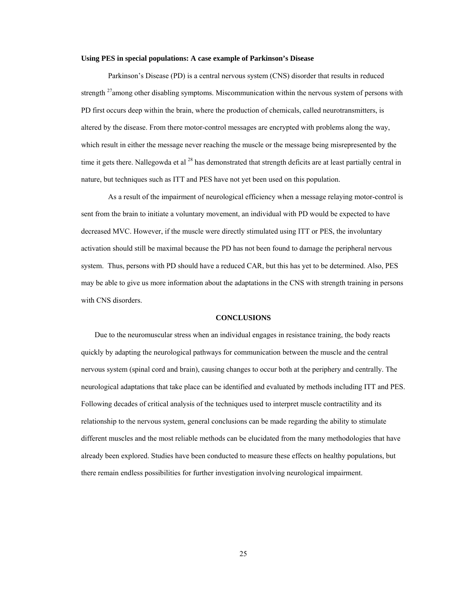#### **Using PES in special populations: A case example of Parkinson's Disease**

Parkinson's Disease (PD) is a central nervous system (CNS) disorder that results in reduced strength <sup>27</sup>among other disabling symptoms. Miscommunication within the nervous system of persons with PD first occurs deep within the brain, where the production of chemicals, called neurotransmitters, is altered by the disease. From there motor-control messages are encrypted with problems along the way, which result in either the message never reaching the muscle or the message being misrepresented by the time it gets there. Nallegowda et al <sup>28</sup> has demonstrated that strength deficits are at least partially central in nature, but techniques such as ITT and PES have not yet been used on this population.

As a result of the impairment of neurological efficiency when a message relaying motor-control is sent from the brain to initiate a voluntary movement, an individual with PD would be expected to have decreased MVC. However, if the muscle were directly stimulated using ITT or PES, the involuntary activation should still be maximal because the PD has not been found to damage the peripheral nervous system. Thus, persons with PD should have a reduced CAR, but this has yet to be determined. Also, PES may be able to give us more information about the adaptations in the CNS with strength training in persons with CNS disorders.

## **CONCLUSIONS**

Due to the neuromuscular stress when an individual engages in resistance training, the body reacts quickly by adapting the neurological pathways for communication between the muscle and the central nervous system (spinal cord and brain), causing changes to occur both at the periphery and centrally. The neurological adaptations that take place can be identified and evaluated by methods including ITT and PES. Following decades of critical analysis of the techniques used to interpret muscle contractility and its relationship to the nervous system, general conclusions can be made regarding the ability to stimulate different muscles and the most reliable methods can be elucidated from the many methodologies that have already been explored. Studies have been conducted to measure these effects on healthy populations, but there remain endless possibilities for further investigation involving neurological impairment.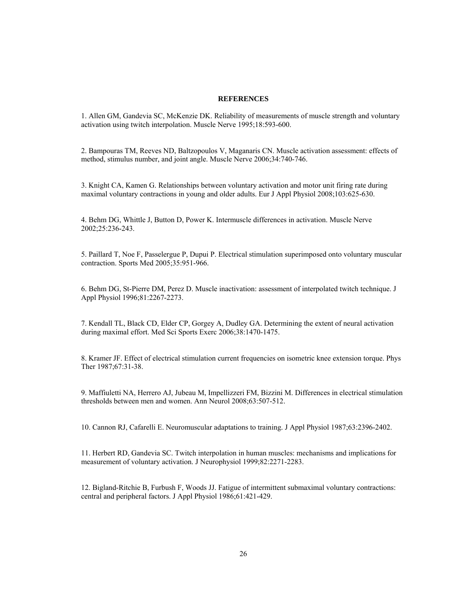#### **REFERENCES**

1. Allen GM, Gandevia SC, McKenzie DK. Reliability of measurements of muscle strength and voluntary activation using twitch interpolation. Muscle Nerve 1995;18:593-600.

2. Bampouras TM, Reeves ND, Baltzopoulos V, Maganaris CN. Muscle activation assessment: effects of method, stimulus number, and joint angle. Muscle Nerve 2006;34:740-746.

3. Knight CA, Kamen G. Relationships between voluntary activation and motor unit firing rate during maximal voluntary contractions in young and older adults. Eur J Appl Physiol 2008;103:625-630.

4. Behm DG, Whittle J, Button D, Power K. Intermuscle differences in activation. Muscle Nerve 2002;25:236-243.

5. Paillard T, Noe F, Passelergue P, Dupui P. Electrical stimulation superimposed onto voluntary muscular contraction. Sports Med 2005;35:951-966.

6. Behm DG, St-Pierre DM, Perez D. Muscle inactivation: assessment of interpolated twitch technique. J Appl Physiol 1996;81:2267-2273.

7. Kendall TL, Black CD, Elder CP, Gorgey A, Dudley GA. Determining the extent of neural activation during maximal effort. Med Sci Sports Exerc 2006;38:1470-1475.

8. Kramer JF. Effect of electrical stimulation current frequencies on isometric knee extension torque. Phys Ther 1987;67:31-38.

9. Maffiuletti NA, Herrero AJ, Jubeau M, Impellizzeri FM, Bizzini M. Differences in electrical stimulation thresholds between men and women. Ann Neurol 2008;63:507-512.

10. Cannon RJ, Cafarelli E. Neuromuscular adaptations to training. J Appl Physiol 1987;63:2396-2402.

11. Herbert RD, Gandevia SC. Twitch interpolation in human muscles: mechanisms and implications for measurement of voluntary activation. J Neurophysiol 1999;82:2271-2283.

12. Bigland-Ritchie B, Furbush F, Woods JJ. Fatigue of intermittent submaximal voluntary contractions: central and peripheral factors. J Appl Physiol 1986;61:421-429.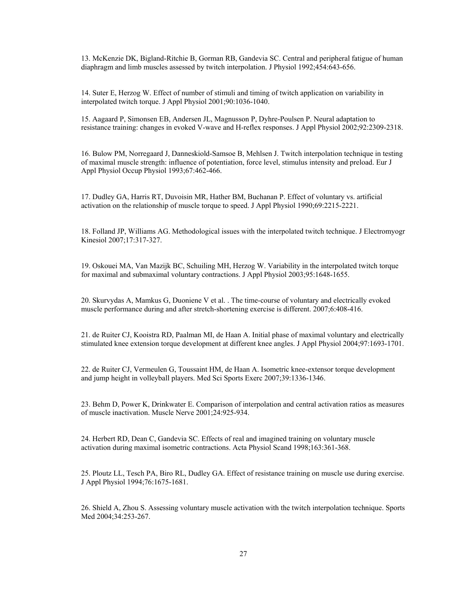13. McKenzie DK, Bigland-Ritchie B, Gorman RB, Gandevia SC. Central and peripheral fatigue of human diaphragm and limb muscles assessed by twitch interpolation. J Physiol 1992;454:643-656.

14. Suter E, Herzog W. Effect of number of stimuli and timing of twitch application on variability in interpolated twitch torque. J Appl Physiol 2001;90:1036-1040.

15. Aagaard P, Simonsen EB, Andersen JL, Magnusson P, Dyhre-Poulsen P. Neural adaptation to resistance training: changes in evoked V-wave and H-reflex responses. J Appl Physiol 2002;92:2309-2318.

16. Bulow PM, Norregaard J, Danneskiold-Samsoe B, Mehlsen J. Twitch interpolation technique in testing of maximal muscle strength: influence of potentiation, force level, stimulus intensity and preload. Eur J Appl Physiol Occup Physiol 1993;67:462-466.

17. Dudley GA, Harris RT, Duvoisin MR, Hather BM, Buchanan P. Effect of voluntary vs. artificial activation on the relationship of muscle torque to speed. J Appl Physiol 1990;69:2215-2221.

18. Folland JP, Williams AG. Methodological issues with the interpolated twitch technique. J Electromyogr Kinesiol 2007;17:317-327.

19. Oskouei MA, Van Mazijk BC, Schuiling MH, Herzog W. Variability in the interpolated twitch torque for maximal and submaximal voluntary contractions. J Appl Physiol 2003;95:1648-1655.

20. Skurvydas A, Mamkus G, Duoniene V et al. . The time-course of voluntary and electrically evoked muscle performance during and after stretch-shortening exercise is different. 2007;6:408-416.

21. de Ruiter CJ, Kooistra RD, Paalman MI, de Haan A. Initial phase of maximal voluntary and electrically stimulated knee extension torque development at different knee angles. J Appl Physiol 2004;97:1693-1701.

22. de Ruiter CJ, Vermeulen G, Toussaint HM, de Haan A. Isometric knee-extensor torque development and jump height in volleyball players. Med Sci Sports Exerc 2007;39:1336-1346.

23. Behm D, Power K, Drinkwater E. Comparison of interpolation and central activation ratios as measures of muscle inactivation. Muscle Nerve 2001;24:925-934.

24. Herbert RD, Dean C, Gandevia SC. Effects of real and imagined training on voluntary muscle activation during maximal isometric contractions. Acta Physiol Scand 1998;163:361-368.

25. Ploutz LL, Tesch PA, Biro RL, Dudley GA. Effect of resistance training on muscle use during exercise. J Appl Physiol 1994;76:1675-1681.

26. Shield A, Zhou S. Assessing voluntary muscle activation with the twitch interpolation technique. Sports Med 2004;34:253-267.